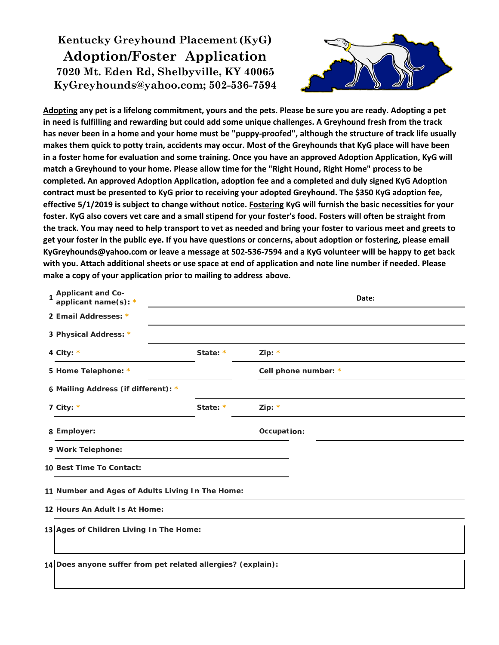## **Kentucky Greyhound Placement (KyG) Adoption/Foster Application 7020 Mt. Eden Rd, Shelbyville, KY 40065 KyGreyhounds@yahoo.com; 502-536-7594**



**Adopting any pet is a lifelong commitment, yours and the pets. Please be sure you are ready. Adopting a pet in need is fulfilling and rewarding but could add some unique challenges. A Greyhound fresh from the track has never been in a home and your home must be "puppy-proofed", although the structure of track life usually makes them quick to potty train, accidents may occur. Most of the Greyhounds that KyG place will have been in a foster home for evaluation and some training. Once you have an approved Adoption Application, KyG will match a Greyhound to your home. Please allow time for the "Right Hound, Right Home" process to be completed. An approved Adoption Application, adoption fee and a completed and duly signed KyG Adoption contract must be presented to KyG prior to receiving your adopted Greyhound. The \$350 KyG adoption fee, effective 5/1/2019 is subject to change without notice. Fostering KyG will furnish the basic necessities for your foster. KyG also covers vet care and a small stipend for your foster's food. Fosters will often be straight from the track. You may need to help transport to vet as needed and bring your foster to various meet and greets to get your foster in the public eye. If you have questions or concerns, about adoption or fostering, please email [KyGreyhounds@yahoo.com o](mailto:KyGreyhounds@yahoo.com)r leave a message at 502-536-7594 and a KyG volunteer will be happy to get back with you. Attach additional sheets or use space at end of application and note line number if needed. Please make a copy of your application prior to mailing to address above.**

| 1 Applicant and Co-<br>applicant name(s): *                  |          | Date:                |  |
|--------------------------------------------------------------|----------|----------------------|--|
| 2 Email Addresses: *                                         |          |                      |  |
| 3 Physical Address: *                                        |          |                      |  |
| 4 City: $*$                                                  | State: * | Zip: $*$             |  |
| 5 Home Telephone: *                                          |          | Cell phone number: * |  |
| 6 Mailing Address (if different): *                          |          |                      |  |
| 7 City: $*$                                                  | State: * | Zip: *               |  |
| 8 Employer:                                                  |          | Occupation:          |  |
| 9 Work Telephone:                                            |          |                      |  |
| 10 Best Time To Contact:                                     |          |                      |  |
| 11 Number and Ages of Adults Living In The Home:             |          |                      |  |
| 12 Hours An Adult Is At Home:                                |          |                      |  |
| 13 Ages of Children Living In The Home:                      |          |                      |  |
| 14 Does anyone suffer from pet related allergies? (explain): |          |                      |  |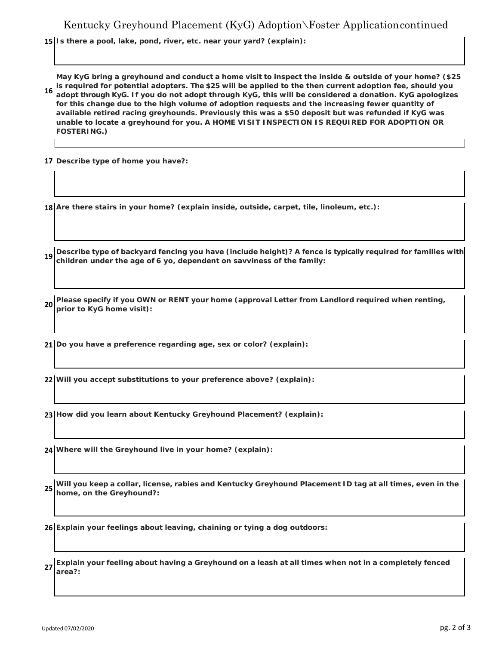## Kentucky Greyhound Placement (KyG) Adoption\Foster Applicationcontinued

**15 Is there a pool, lake, pond, river, etc. near your yard? (explain):**

**16 is required for potential adopters. The \$25 will be applied to the then current adoption fee, should you May KyG bring a greyhound and conduct a home visit to inspect the inside & outside of your home? (\$25 adopt through KyG. If you do not adopt through KyG, this will be considered a donation. KyG apologizes for this change due to the high volume of adoption requests and the increasing fewer quantity of available retired racing greyhounds. Previously this was a \$50 deposit but was refunded if KyG was unable to locate a greyhound for you. A HOME VISIT INSPECTION IS REQUIRED FOR ADOPTION OR FOSTERING.)**

**17 Describe type of home you have?:**

**18 Are there stairs in your home? (explain inside, outside, carpet, tile, linoleum, etc.):**

- 19 Describe type of backyard fencing you have (include height)? A fence is typically required for families with **children under the age of 6 yo, dependent on savviness of the family:**
- **<sup>20</sup> Please specify if you OWN or RENT your home (approval Letter from Landlord required when renting, prior to KyG home visit):**

**21 Do you have a preference regarding age, sex or color? (explain):**

**22 Will you accept substitutions to your preference above? (explain):**

**23 How did you learn about Kentucky Greyhound Placement? (explain):**

**24 Where will the Greyhound live in your home? (explain):**

25 Will you keep a collar, license, rabies and Kentucky Greyhound Placement ID tag at all times, even in the **home, on the Greyhound?:**

**26 Explain your feelings about leaving, chaining or tying a dog outdoors:**

27 Explain your feeling about having a Greyhound on a leash at all times when not in a completely fenced **area?:**